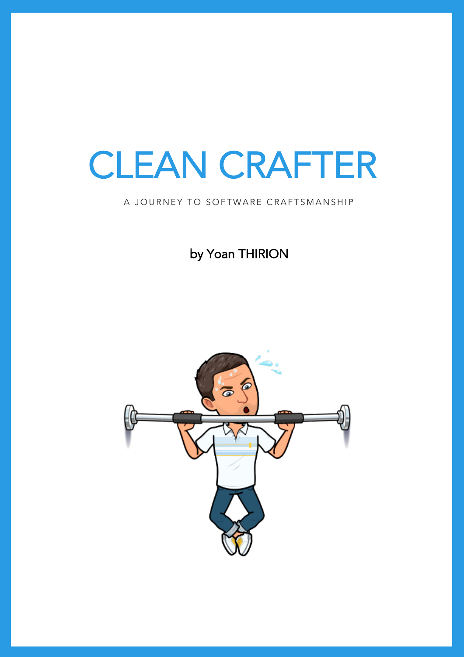# CLEAN CRAFTER

by Yoan THIRION

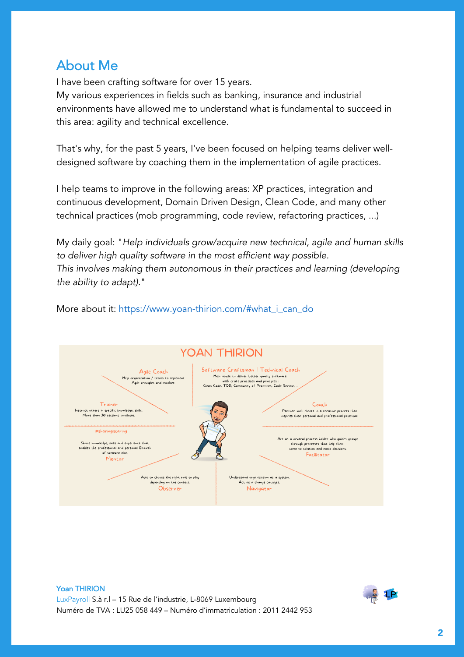#### About Me

I have been crafting software for over 15 years.

My various experiences in fields such as banking, insurance and industrial environments have allowed me to understand what is fundamental to succeed in this area: agility and technical excellence.

That's why, for the past 5 years, I've been focused on helping teams deliver welldesigned software by coaching them in the implementation of agile practices.

I help teams to improve in the following areas: XP practices, integration and continuous development, Domain Driven Design, Clean Code, and many other technical practices (mob programming, code review, refactoring practices, ...)

My daily goal: "*Help individuals grow/acquire new technical, agile and human skills to deliver high quality software in the most efficient way possible. This involves making them autonomous in their practices and learning (developing the ability to adapt).*"





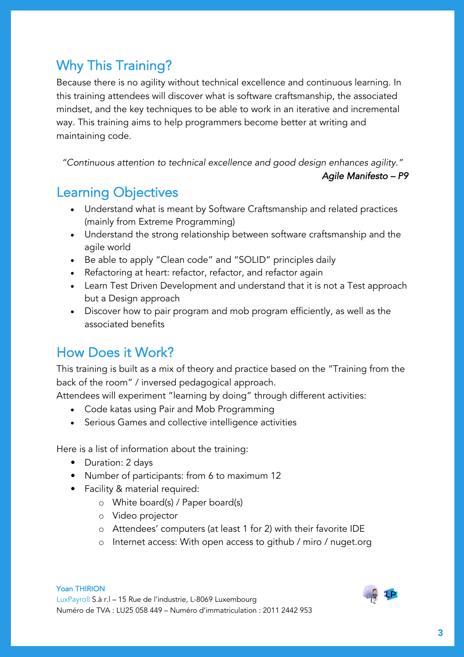# Why This Training?

Because there is no agility without technical excellence and continuous learning. In this training attendees will discover what is software craftsmanship, the associated mindset, and the key techniques to be able to work in an iterative and incremental way. This training aims to help programmers become better at writing and maintaining code.

*"Continuous attention to technical excellence and good design enhances agility."*

*Agile Manifesto – P9* 

# Learning Objectives

- Understand what is meant by Software Craftsmanship and related practices (mainly from Extreme Programming)
- Understand the strong relationship between software craftsmanship and the agile world
- Be able to apply "Clean code" and "SOLID" principles daily
- Refactoring at heart: refactor, refactor, and refactor again
- Learn Test Driven Development and understand that it is not a Test approach but a Design approach
- Discover how to pair program and mob program efficiently, as well as the associated benefits

# How Does it Work?

This training is built as a mix of theory and practice based on the "Training from the back of the room" / inversed pedagogical approach.

Attendees will experiment "learning by doing" through different activities:

- Code katas using Pair and Mob Programming
- Serious Games and collective intelligence activities

Here is a list of information about the training:

- Duration: 2 days
- Number of participants: from 6 to maximum 12
- Facility & material required:
	- o White board(s) / Paper board(s)
	- o Video projector
	- o Attendees' computers (at least 1 for 2) with their favorite IDE
	- o Internet access: With open access to github / miro / nuget.org

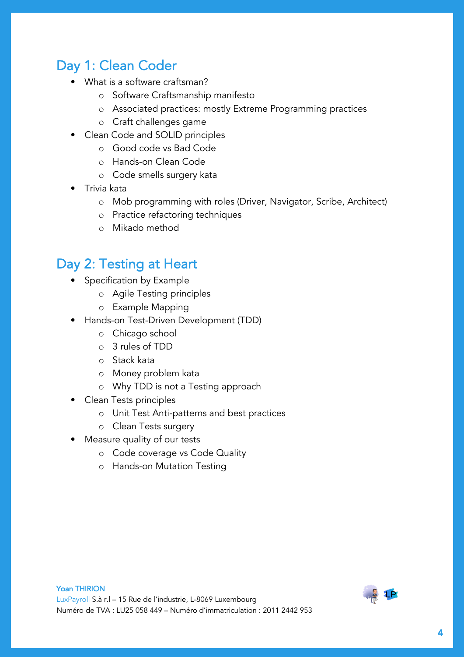# Day 1: Clean Coder

- What is a software craftsman?
	- o Software Craftsmanship manifesto
	- o Associated practices: mostly Extreme Programming practices
	- o Craft challenges game
- Clean Code and SOLID principles
	- o Good code vs Bad Code
	- o Hands-on Clean Code
	- o Code smells surgery kata
- Trivia kata
	- o Mob programming with roles (Driver, Navigator, Scribe, Architect)
	- o Practice refactoring techniques
	- o Mikado method

### Day 2: Testing at Heart

- Specification by Example
	- o Agile Testing principles
	- o Example Mapping
- Hands-on Test-Driven Development (TDD)
	- o Chicago school
	- o 3 rules of TDD
	- o Stack kata
	- o Money problem kata
	- o Why TDD is not a Testing approach
- Clean Tests principles
	- o Unit Test Anti-patterns and best practices
	- o Clean Tests surgery
- Measure quality of our tests
	- o Code coverage vs Code Quality
	- o Hands-on Mutation Testing

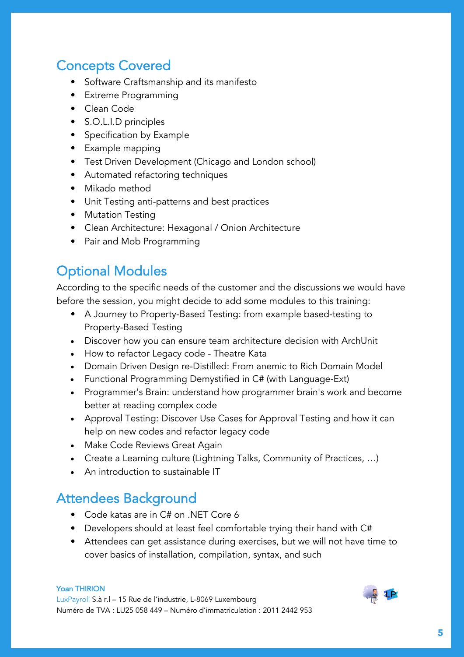# Concepts Covered

- Software Craftsmanship and its manifesto
- Extreme Programming
- Clean Code
- S.O.L.I.D principles
- Specification by Example
- Example mapping
- Test Driven Development (Chicago and London school)
- Automated refactoring techniques
- Mikado method
- Unit Testing anti-patterns and best practices
- Mutation Testing
- Clean Architecture: Hexagonal / Onion Architecture
- Pair and Mob Programming

### Optional Modules

According to the specific needs of the customer and the discussions we would have before the session, you might decide to add some modules to this training:

- A Journey to Property-Based Testing: from example based-testing to Property-Based Testing
- Discover how you can ensure team architecture decision with ArchUnit
- How to refactor Legacy code Theatre Kata
- Domain Driven Design re-Distilled: From anemic to Rich Domain Model
- Functional Programming Demystified in C# (with Language-Ext)
- Programmer's Brain: understand how programmer brain's work and become better at reading complex code
- Approval Testing: Discover Use Cases for Approval Testing and how it can help on new codes and refactor legacy code
- Make Code Reviews Great Again
- Create a Learning culture (Lightning Talks, Community of Practices, …)
- An introduction to sustainable IT

#### Attendees Background

- Code katas are in C# on .NET Core 6
- Developers should at least feel comfortable trying their hand with C#
- Attendees can get assistance during exercises, but we will not have time to cover basics of installation, compilation, syntax, and such